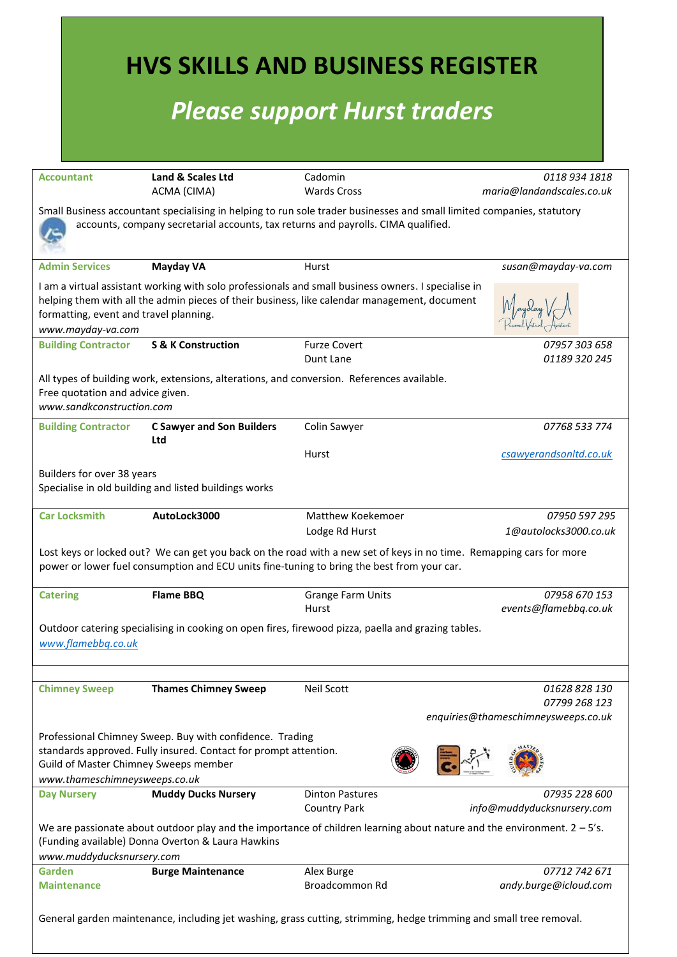|                                                                                                                                                                                           |                                                                                                                              | <b>HVS SKILLS AND BUSINESS REGISTER</b><br><b>Please support Hurst traders</b>                                                                                                                                                      |                                                      |  |
|-------------------------------------------------------------------------------------------------------------------------------------------------------------------------------------------|------------------------------------------------------------------------------------------------------------------------------|-------------------------------------------------------------------------------------------------------------------------------------------------------------------------------------------------------------------------------------|------------------------------------------------------|--|
| <b>Accountant</b>                                                                                                                                                                         | Land & Scales Ltd                                                                                                            | Cadomin                                                                                                                                                                                                                             | 0118 934 1818                                        |  |
|                                                                                                                                                                                           | ACMA (CIMA)                                                                                                                  | <b>Wards Cross</b><br>Small Business accountant specialising in helping to run sole trader businesses and small limited companies, statutory<br>accounts, company secretarial accounts, tax returns and payrolls. CIMA qualified.   | maria@landandscales.co.uk                            |  |
| <b>Admin Services</b>                                                                                                                                                                     | <b>Mayday VA</b>                                                                                                             | Hurst                                                                                                                                                                                                                               | susan@mayday-va.com                                  |  |
| formatting, event and travel planning.<br>www.mayday-va.com                                                                                                                               |                                                                                                                              | I am a virtual assistant working with solo professionals and small business owners. I specialise in<br>helping them with all the admin pieces of their business, like calendar management, document                                 |                                                      |  |
| <b>Building Contractor</b>                                                                                                                                                                | <b>S &amp; K Construction</b>                                                                                                | <b>Furze Covert</b>                                                                                                                                                                                                                 | 07957 303 658                                        |  |
| 01189 320 245<br>Dunt Lane<br>All types of building work, extensions, alterations, and conversion. References available.<br>Free quotation and advice given.<br>www.sandkconstruction.com |                                                                                                                              |                                                                                                                                                                                                                                     |                                                      |  |
| <b>Building Contractor</b>                                                                                                                                                                | <b>C Sawyer and Son Builders</b><br>Ltd                                                                                      | Colin Sawyer                                                                                                                                                                                                                        | 07768 533 774                                        |  |
|                                                                                                                                                                                           |                                                                                                                              | Hurst                                                                                                                                                                                                                               | csawyerandsonltd.co.uk                               |  |
| Builders for over 38 years                                                                                                                                                                | Specialise in old building and listed buildings works                                                                        |                                                                                                                                                                                                                                     |                                                      |  |
| <b>Car Locksmith</b>                                                                                                                                                                      | AutoLock3000                                                                                                                 | Matthew Koekemoer                                                                                                                                                                                                                   | 07950 597 295                                        |  |
|                                                                                                                                                                                           |                                                                                                                              | Lodge Rd Hurst<br>Lost keys or locked out? We can get you back on the road with a new set of keys in no time. Remapping cars for more<br>power or lower fuel consumption and ECU units fine-tuning to bring the best from your car. | 1@autolocks3000.co.uk                                |  |
| <b>Catering</b>                                                                                                                                                                           | <b>Flame BBQ</b>                                                                                                             | <b>Grange Farm Units</b><br>Hurst                                                                                                                                                                                                   | 07958 670 153<br>events@flamebbq.co.uk               |  |
| www.flamebbq.co.uk                                                                                                                                                                        |                                                                                                                              | Outdoor catering specialising in cooking on open fires, firewood pizza, paella and grazing tables.                                                                                                                                  |                                                      |  |
| <b>Chimney Sweep</b>                                                                                                                                                                      | <b>Thames Chimney Sweep</b>                                                                                                  | Neil Scott                                                                                                                                                                                                                          | 01628 828 130                                        |  |
|                                                                                                                                                                                           |                                                                                                                              |                                                                                                                                                                                                                                     | 07799 268 123<br>enquiries@thameschimneysweeps.co.uk |  |
| Guild of Master Chimney Sweeps member<br>www.thameschimneysweeps.co.uk                                                                                                                    | Professional Chimney Sweep. Buy with confidence. Trading<br>standards approved. Fully insured. Contact for prompt attention. |                                                                                                                                                                                                                                     |                                                      |  |
| <b>Day Nursery</b>                                                                                                                                                                        | <b>Muddy Ducks Nursery</b>                                                                                                   | <b>Dinton Pastures</b>                                                                                                                                                                                                              | 07935 228 600                                        |  |
|                                                                                                                                                                                           |                                                                                                                              | <b>Country Park</b><br>We are passionate about outdoor play and the importance of children learning about nature and the environment. $2 - 5$ 's.                                                                                   | info@muddyducksnursery.com                           |  |
| www.muddyducksnursery.com                                                                                                                                                                 | (Funding available) Donna Overton & Laura Hawkins                                                                            |                                                                                                                                                                                                                                     |                                                      |  |
| Garden<br><b>Maintenance</b>                                                                                                                                                              | <b>Burge Maintenance</b>                                                                                                     | Alex Burge<br>Broadcommon Rd                                                                                                                                                                                                        | 07712 742 671<br>andy.burge@icloud.com               |  |
|                                                                                                                                                                                           |                                                                                                                              | General garden maintenance, including jet washing, grass cutting, strimming, hedge trimming and small tree removal.                                                                                                                 |                                                      |  |

 $\mathcal{L}^{\mathcal{L}}(\mathcal{L}^{\mathcal{L}}(\mathcal{L}^{\mathcal{L}}(\mathcal{L}^{\mathcal{L}}(\mathcal{L}^{\mathcal{L}}(\mathcal{L}^{\mathcal{L}}(\mathcal{L}^{\mathcal{L}}(\mathcal{L}^{\mathcal{L}}(\mathcal{L}^{\mathcal{L}}(\mathcal{L}^{\mathcal{L}}(\mathcal{L}^{\mathcal{L}}(\mathcal{L}^{\mathcal{L}}(\mathcal{L}^{\mathcal{L}}(\mathcal{L}^{\mathcal{L}}(\mathcal{L}^{\mathcal{L}}(\mathcal{L}^{\mathcal{L}}(\mathcal{L}^{\mathcal{L$